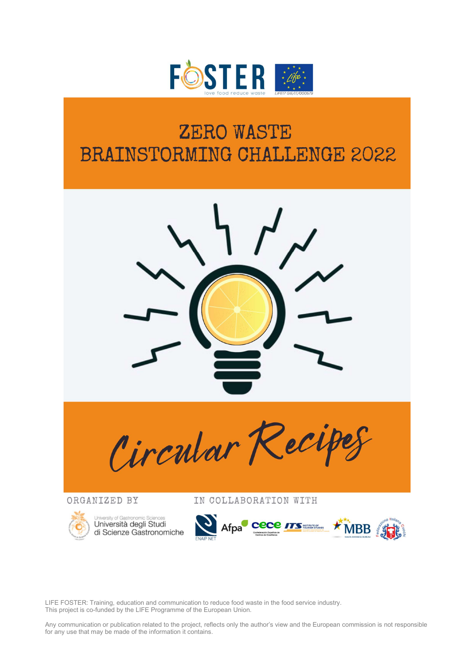

# **ZERO WASTE BRAINSTORMING CHALLENGE 2022**



LIFE FOSTER: Training, education and communication to reduce food waste in the food service industry. This project is co-funded by the LIFE Programme of the European Union.

Any communication or publication related to the project, reflects only the author's view and the European commission is not responsible for any use that may be made of the information it contains.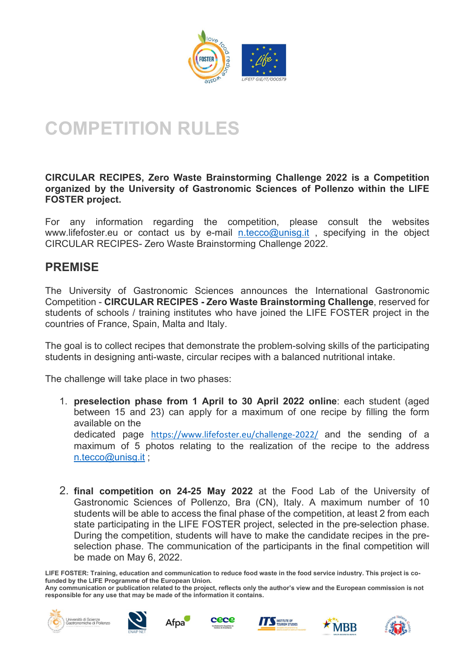

# COMPETITION RULES

#### CIRCULAR RECIPES, Zero Waste Brainstorming Challenge 2022 is a Competition organized by the University of Gastronomic Sciences of Pollenzo within the LIFE FOSTER project.

For any information regarding the competition, please consult the websites www.lifefoster.eu or contact us by e-mail n.tecco@unisg.it, specifying in the object CIRCULAR RECIPES- Zero Waste Brainstorming Challenge 2022.

### PREMISE

The University of Gastronomic Sciences announces the International Gastronomic Competition - CIRCULAR RECIPES - Zero Waste Brainstorming Challenge, reserved for students of schools / training institutes who have joined the LIFE FOSTER project in the countries of France, Spain, Malta and Italy.

The goal is to collect recipes that demonstrate the problem-solving skills of the participating students in designing anti-waste, circular recipes with a balanced nutritional intake.

The challenge will take place in two phases:

- 1. preselection phase from 1 April to 30 April 2022 online: each student (aged between 15 and 23) can apply for a maximum of one recipe by filling the form available on the dedicated page https://www.lifefoster.eu/challenge-2022/ and the sending of a maximum of 5 photos relating to the realization of the recipe to the address n.tecco@unisg.it ;
- 2. final competition on 24-25 May 2022 at the Food Lab of the University of Gastronomic Sciences of Pollenzo, Bra (CN), Italy. A maximum number of 10 students will be able to access the final phase of the competition, at least 2 from each state participating in the LIFE FOSTER project, selected in the pre-selection phase. During the competition, students will have to make the candidate recipes in the preselection phase. The communication of the participants in the final competition will be made on May 6, 2022.











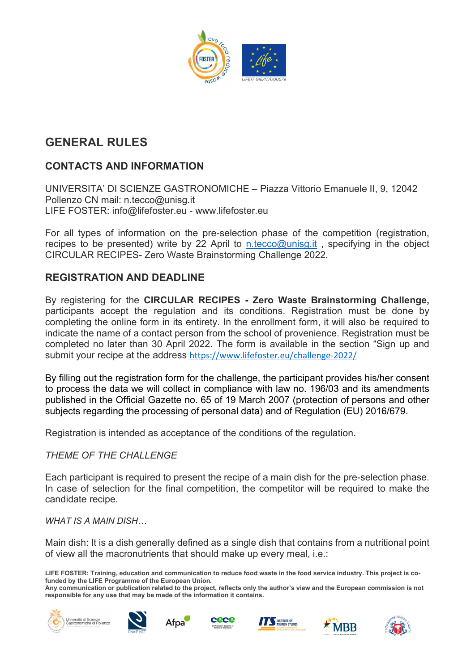

## GENERAL RULES

### CONTACTS AND INFORMATION

UNIVERSITA' DI SCIENZE GASTRONOMICHE – Piazza Vittorio Emanuele II, 9, 12042 Pollenzo CN mail: n.tecco@unisg.it LIFE FOSTER: info@lifefoster.eu - www.lifefoster.eu

For all types of information on the pre-selection phase of the competition (registration, recipes to be presented) write by 22 April to n.tecco@unisg.it, specifying in the object CIRCULAR RECIPES- Zero Waste Brainstorming Challenge 2022.

#### REGISTRATION AND DEADLINE

By registering for the CIRCULAR RECIPES - Zero Waste Brainstorming Challenge, participants accept the regulation and its conditions. Registration must be done by completing the online form in its entirety. In the enrollment form, it will also be required to indicate the name of a contact person from the school of provenience. Registration must be completed no later than 30 April 2022. The form is available in the section "Sign up and submit your recipe at the address https://www.lifefoster.eu/challenge-2022/

By filling out the registration form for the challenge, the participant provides his/her consent to process the data we will collect in compliance with law no. 196/03 and its amendments published in the Official Gazette no. 65 of 19 March 2007 (protection of persons and other subjects regarding the processing of personal data) and of Regulation (EU) 2016/679.

Registration is intended as acceptance of the conditions of the regulation.

#### THEME OF THE CHALLENGE

Each participant is required to present the recipe of a main dish for the pre-selection phase. In case of selection for the final competition, the competitor will be required to make the candidate recipe.

WHAT IS A MAIN DISH…

Main dish: It is a dish generally defined as a single dish that contains from a nutritional point of view all the macronutrients that should make up every meal, i.e.:











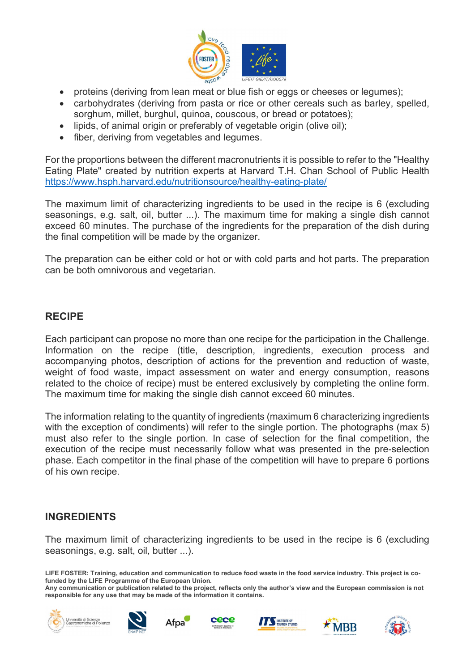

- proteins (deriving from lean meat or blue fish or eggs or cheeses or legumes);
- carbohydrates (deriving from pasta or rice or other cereals such as barley, spelled, sorghum, millet, burghul, quinoa, couscous, or bread or potatoes);
- lipids, of animal origin or preferably of vegetable origin (olive oil);
- fiber, deriving from vegetables and legumes.

For the proportions between the different macronutrients it is possible to refer to the "Healthy Eating Plate" created by nutrition experts at Harvard T.H. Chan School of Public Health https://www.hsph.harvard.edu/nutritionsource/healthy-eating-plate/

The maximum limit of characterizing ingredients to be used in the recipe is 6 (excluding seasonings, e.g. salt, oil, butter ...). The maximum time for making a single dish cannot exceed 60 minutes. The purchase of the ingredients for the preparation of the dish during the final competition will be made by the organizer.

The preparation can be either cold or hot or with cold parts and hot parts. The preparation can be both omnivorous and vegetarian.

#### RECIPE

Each participant can propose no more than one recipe for the participation in the Challenge. Information on the recipe (title, description, ingredients, execution process and accompanying photos, description of actions for the prevention and reduction of waste, weight of food waste, impact assessment on water and energy consumption, reasons related to the choice of recipe) must be entered exclusively by completing the online form. The maximum time for making the single dish cannot exceed 60 minutes.

The information relating to the quantity of ingredients (maximum 6 characterizing ingredients with the exception of condiments) will refer to the single portion. The photographs (max 5) must also refer to the single portion. In case of selection for the final competition, the execution of the recipe must necessarily follow what was presented in the pre-selection phase. Each competitor in the final phase of the competition will have to prepare 6 portions of his own recipe.

#### INGREDIENTS

The maximum limit of characterizing ingredients to be used in the recipe is 6 (excluding seasonings, e.g. salt, oil, butter ...).











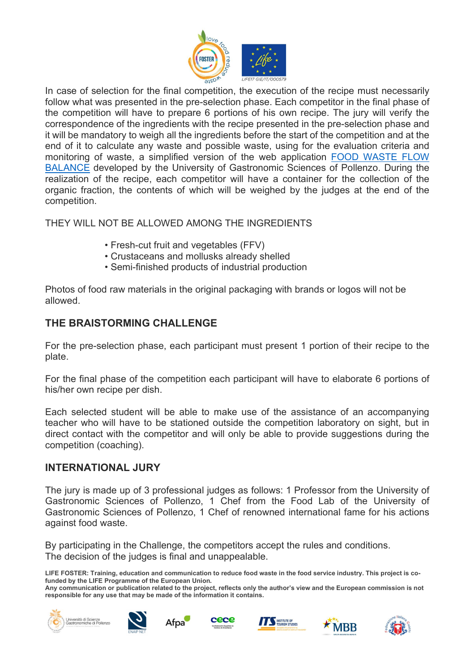

In case of selection for the final competition, the execution of the recipe must necessarily follow what was presented in the pre-selection phase. Each competitor in the final phase of the competition will have to prepare 6 portions of his own recipe. The jury will verify the correspondence of the ingredients with the recipe presented in the pre-selection phase and it will be mandatory to weigh all the ingredients before the start of the competition and at the end of it to calculate any waste and possible waste, using for the evaluation criteria and monitoring of waste, a simplified version of the web application FOOD WASTE FLOW BALANCE developed by the University of Gastronomic Sciences of Pollenzo. During the realization of the recipe, each competitor will have a container for the collection of the organic fraction, the contents of which will be weighed by the judges at the end of the competition.

THEY WILL NOT BE ALLOWED AMONG THE INGREDIENTS

- Fresh-cut fruit and vegetables (FFV)
- Crustaceans and mollusks already shelled
- Semi-finished products of industrial production

Photos of food raw materials in the original packaging with brands or logos will not be allowed.

### THE BRAISTORMING CHALLENGE

For the pre-selection phase, each participant must present 1 portion of their recipe to the plate.

For the final phase of the competition each participant will have to elaborate 6 portions of his/her own recipe per dish.

Each selected student will be able to make use of the assistance of an accompanying teacher who will have to be stationed outside the competition laboratory on sight, but in direct contact with the competitor and will only be able to provide suggestions during the competition (coaching).

#### INTERNATIONAL JURY

The jury is made up of 3 professional judges as follows: 1 Professor from the University of Gastronomic Sciences of Pollenzo, 1 Chef from the Food Lab of the University of Gastronomic Sciences of Pollenzo, 1 Chef of renowned international fame for his actions against food waste.

By participating in the Challenge, the competitors accept the rules and conditions. The decision of the judges is final and unappealable.











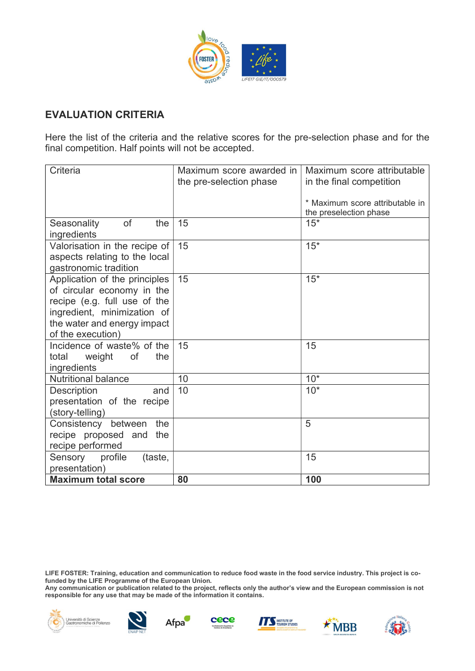

#### EVALUATION CRITERIA

Here the list of the criteria and the relative scores for the pre-selection phase and for the final competition. Half points will not be accepted.

| Criteria                                                                                                                                                                       | Maximum score awarded in<br>the pre-selection phase | Maximum score attributable<br>in the final competition    |
|--------------------------------------------------------------------------------------------------------------------------------------------------------------------------------|-----------------------------------------------------|-----------------------------------------------------------|
|                                                                                                                                                                                |                                                     | * Maximum score attributable in<br>the preselection phase |
| of<br>the<br>Seasonality<br>ingredients                                                                                                                                        | 15                                                  | $15*$                                                     |
| Valorisation in the recipe of<br>aspects relating to the local<br>gastronomic tradition                                                                                        | 15                                                  | $15*$                                                     |
| Application of the principles<br>of circular economy in the<br>recipe (e.g. full use of the<br>ingredient, minimization of<br>the water and energy impact<br>of the execution) | 15                                                  | $15*$                                                     |
| Incidence of waste% of the<br>of<br>the<br>total<br>weight<br>ingredients                                                                                                      | 15                                                  | 15                                                        |
| <b>Nutritional balance</b>                                                                                                                                                     | 10                                                  | $10*$                                                     |
| <b>Description</b><br>and<br>presentation of the recipe<br>(story-telling)                                                                                                     | 10                                                  | $10*$                                                     |
| Consistency between<br>the<br>recipe proposed and<br>the<br>recipe performed                                                                                                   |                                                     | 5                                                         |
| Sensory<br>profile<br>(taste,<br>presentation)                                                                                                                                 |                                                     | 15                                                        |
| <b>Maximum total score</b>                                                                                                                                                     | 80                                                  | 100                                                       |

LIFE FOSTER: Training, education and communication to reduce food waste in the food service industry. This project is cofunded by the LIFE Programme of the European Union.

Any communication or publication related to the project, reflects only the author's view and the European commission is not responsible for any use that may be made of the information it contains.